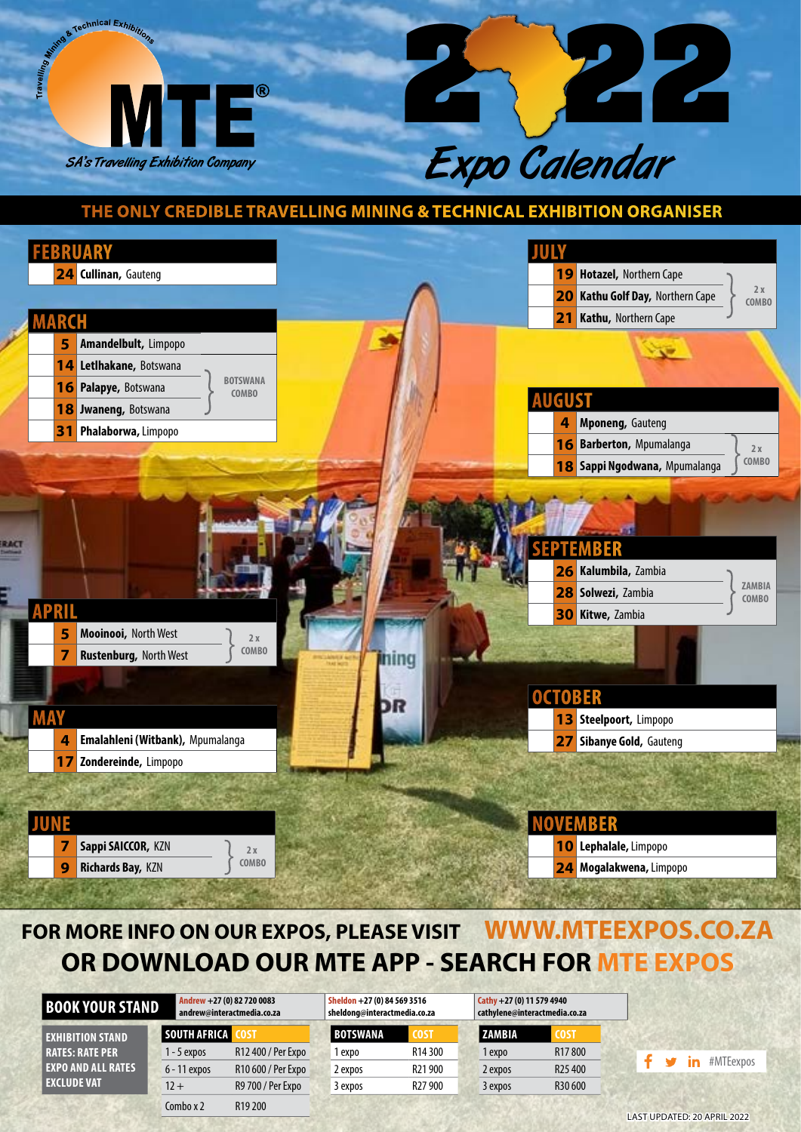



## **THE ONLY CREDIBLE TRAVELLING MINING & TECHNICAL EXHIBITION ORGANISER**



## **FOR MORE INFO ON OUR EXPOS, PLEASE VISIT WWW.MTEEXPOS.CO.ZA OR DOWNLOAD OUR MTE APP - SEARCH FOR MTE EXPOS**

| <b>BOOK YOUR STAND</b>    | Andrew +27 (0) 82 720 0083<br>andrew@interactmedia.co.za |                     | Sheldon +27 (0) 84 569 3516<br>sheldong@interactmedia.co.za |                     | $Cathy + 27(0) 11 579 4940$<br>cathylene@interactmedia.co.za |                     |
|---------------------------|----------------------------------------------------------|---------------------|-------------------------------------------------------------|---------------------|--------------------------------------------------------------|---------------------|
| <b>EXHIBITION STAND</b>   | SOUTH AFRICA                                             |                     | <b>BOTSWANA</b>                                             | <b>COST</b>         | ZAMBIA                                                       | <b>COST</b>         |
| <b>RATES: RATE PER</b>    | 1 - 5 expos                                              | R12 400 / Per Expo  | 1 expo                                                      | R <sub>14</sub> 300 | 1 expo                                                       | R <sub>17</sub> 800 |
| <b>EXPO AND ALL RATES</b> | 6 - 11 expos                                             | R10 600 / Per Expo  | 2 expos                                                     | R <sub>21900</sub>  | 2 expos                                                      | R <sub>25</sub> 400 |
| <b>EXCLUDE VAT</b>        | $12 +$                                                   | R9 700 / Per Expo   | 3 expos                                                     | R <sub>27</sub> 900 | 3 expos                                                      | R30 600             |
|                           | Combo $x$ 2                                              | R <sub>19</sub> 200 |                                                             |                     |                                                              |                     |